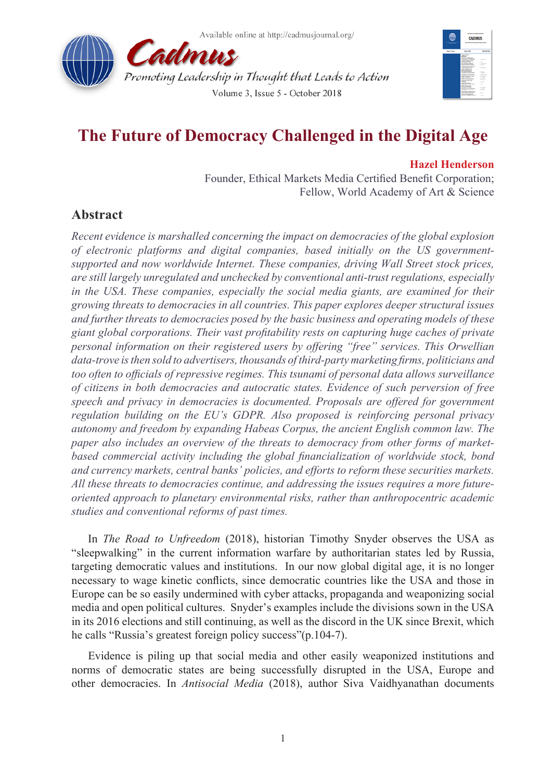



# **The Future of Democracy Challenged in the Digital Age**

### **Hazel Henderson**

Founder, Ethical Markets Media Certified Benefit Corporation; Fellow, World Academy of Art & Science

## **Abstract**

*Recent evidence is marshalled concerning the impact on democracies of the global explosion of electronic platforms and digital companies, based initially on the US governmentsupported and now worldwide Internet. These companies, driving Wall Street stock prices, are still largely unregulated and unchecked by conventional anti-trust regulations, especially in the USA. These companies, especially the social media giants, are examined for their growing threats to democracies in all countries. This paper explores deeper structural issues and further threats to democracies posed by the basic business and operating models of these giant global corporations. Their vast profitability rests on capturing huge caches of private personal information on their registered users by offering "free" services. This Orwellian data-trove is then sold to advertisers, thousands of third-party marketing firms, politicians and too often to officials of repressive regimes. This tsunami of personal data allows surveillance of citizens in both democracies and autocratic states. Evidence of such perversion of free speech and privacy in democracies is documented. Proposals are offered for government regulation building on the EU's GDPR. Also proposed is reinforcing personal privacy autonomy and freedom by expanding Habeas Corpus, the ancient English common law. The paper also includes an overview of the threats to democracy from other forms of marketbased commercial activity including the global financialization of worldwide stock, bond and currency markets, central banks' policies, and efforts to reform these securities markets. All these threats to democracies continue, and addressing the issues requires a more futureoriented approach to planetary environmental risks, rather than anthropocentric academic studies and conventional reforms of past times.*

In *The Road to Unfreedom* (2018), historian Timothy Snyder observes the USA as "sleepwalking" in the current information warfare by authoritarian states led by Russia, targeting democratic values and institutions. In our now global digital age, it is no longer necessary to wage kinetic conflicts, since democratic countries like the USA and those in Europe can be so easily undermined with cyber attacks, propaganda and weaponizing social media and open political cultures. Snyder's examples include the divisions sown in the USA in its 2016 elections and still continuing, as well as the discord in the UK since Brexit, which he calls "Russia's greatest foreign policy success"(p.104-7).

Evidence is piling up that social media and other easily weaponized institutions and norms of democratic states are being successfully disrupted in the USA, Europe and other democracies. In *Antisocial Media* (2018), author Siva Vaidhyanathan documents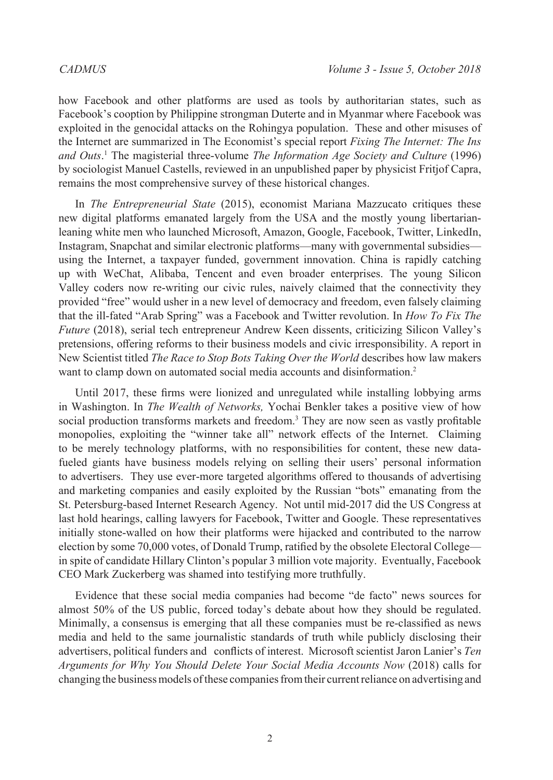how Facebook and other platforms are used as tools by authoritarian states, such as Facebook's cooption by Philippine strongman Duterte and in Myanmar where Facebook was exploited in the genocidal attacks on the Rohingya population. These and other misuses of the Internet are summarized in The Economist's special report *Fixing The Internet: The Ins and Outs*. [1](#page-7-0) The magisterial three-volume *The Information Age Society and Culture* (1996) by sociologist Manuel Castells, reviewed in an unpublished paper by physicist Fritjof Capra, remains the most comprehensive survey of these historical changes.

In *The Entrepreneurial State* (2015), economist Mariana Mazzucato critiques these new digital platforms emanated largely from the USA and the mostly young libertarianleaning white men who launched Microsoft, Amazon, Google, Facebook, Twitter, LinkedIn, Instagram, Snapchat and similar electronic platforms—many with governmental subsidies using the Internet, a taxpayer funded, government innovation. China is rapidly catching up with WeChat, Alibaba, Tencent and even broader enterprises. The young Silicon Valley coders now re-writing our civic rules, naively claimed that the connectivity they provided "free" would usher in a new level of democracy and freedom, even falsely claiming that the ill-fated "Arab Spring" was a Facebook and Twitter revolution. In *How To Fix The Future* (2018), serial tech entrepreneur Andrew Keen dissents, criticizing Silicon Valley's pretensions, offering reforms to their business models and civic irresponsibility. A report in New Scientist titled *The Race to Stop Bots Taking Over the World* describes how law makers want to clamp down on automated social media accounts and disinformation.<sup>[2](#page-7-1)</sup>

Until 2017, these firms were lionized and unregulated while installing lobbying arms in Washington. In *The Wealth of Networks,* Yochai Benkler takes a positive view of how social production transforms markets and freedom.<sup>[3](#page-7-2)</sup> They are now seen as vastly profitable monopolies, exploiting the "winner take all" network effects of the Internet. Claiming to be merely technology platforms, with no responsibilities for content, these new datafueled giants have business models relying on selling their users' personal information to advertisers. They use ever-more targeted algorithms offered to thousands of advertising and marketing companies and easily exploited by the Russian "bots" emanating from the St. Petersburg-based Internet Research Agency. Not until mid-2017 did the US Congress at last hold hearings, calling lawyers for Facebook, Twitter and Google. These representatives initially stone-walled on how their platforms were hijacked and contributed to the narrow election by some 70,000 votes, of Donald Trump, ratified by the obsolete Electoral College in spite of candidate Hillary Clinton's popular 3 million vote majority. Eventually, Facebook CEO Mark Zuckerberg was shamed into testifying more truthfully.

Evidence that these social media companies had become "de facto" news sources for almost 50% of the US public, forced today's debate about how they should be regulated. Minimally, a consensus is emerging that all these companies must be re-classified as news media and held to the same journalistic standards of truth while publicly disclosing their advertisers, political funders and conflicts of interest. Microsoft scientist Jaron Lanier's *Ten Arguments for Why You Should Delete Your Social Media Accounts Now* (2018) calls for changing the business models of these companiesfrom their current reliance on advertising and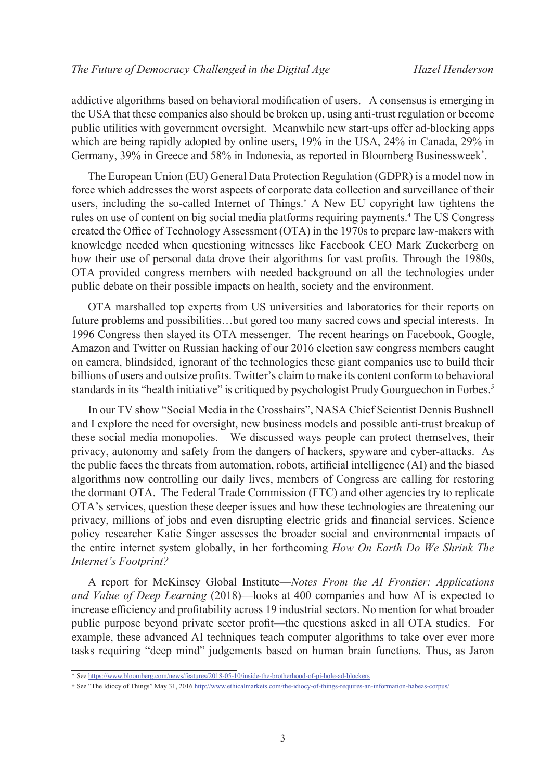addictive algorithms based on behavioral modification of users. A consensus is emerging in the USA that these companies also should be broken up, using anti-trust regulation or become public utilities with government oversight. Meanwhile new start-ups offer ad-blocking apps which are being rapidly adopted by online users, 19% in the USA, 24% in Canada, 29% in Germany, 39% in Greece and 58% in Indonesia, as reported in Bloomberg Businessweek\* .

The European Union (EU) General Data Protection Regulation (GDPR) is a model now in force which addresses the worst aspects of corporate data collection and surveillance of their users, including the so-called Internet of Things.† A New EU copyright law tightens the rules on use of content on big social media platforms requiring payments.<sup>4</sup> The US Congress created the Office of Technology Assessment (OTA) in the 1970s to prepare law-makers with knowledge needed when questioning witnesses like Facebook CEO Mark Zuckerberg on how their use of personal data drove their algorithms for vast profits. Through the 1980s, OTA provided congress members with needed background on all the technologies under public debate on their possible impacts on health, society and the environment.

OTA marshalled top experts from US universities and laboratories for their reports on future problems and possibilities…but gored too many sacred cows and special interests. In 1996 Congress then slayed its OTA messenger. The recent hearings on Facebook, Google, Amazon and Twitter on Russian hacking of our 2016 election saw congress members caught on camera, blindsided, ignorant of the technologies these giant companies use to build their billions of users and outsize profits. Twitter's claim to make its content conform to behavioral standards in its "health initiative" is critiqued by psychologist Prudy Gourguechon in Forbes.<sup>[5](#page-7-4)</sup>

In our TV show "Social Media in the Crosshairs", NASA Chief Scientist Dennis Bushnell and I explore the need for oversight, new business models and possible anti-trust breakup of these social media monopolies. We discussed ways people can protect themselves, their privacy, autonomy and safety from the dangers of hackers, spyware and cyber-attacks. As the public faces the threats from automation, robots, artificial intelligence (AI) and the biased algorithms now controlling our daily lives, members of Congress are calling for restoring the dormant OTA. The Federal Trade Commission (FTC) and other agencies try to replicate OTA's services, question these deeper issues and how these technologies are threatening our privacy, millions of jobs and even disrupting electric grids and financial services. Science policy researcher Katie Singer assesses the broader social and environmental impacts of the entire internet system globally, in her forthcoming *How On Earth Do We Shrink The Internet's Footprint?*

A report for McKinsey Global Institute—*Notes From the AI Frontier: Applications and Value of Deep Learning* (2018)—looks at 400 companies and how AI is expected to increase efficiency and profitability across 19 industrial sectors. No mention for what broader public purpose beyond private sector profit—the questions asked in all OTA studies. For example, these advanced AI techniques teach computer algorithms to take over ever more tasks requiring "deep mind" judgements based on human brain functions. Thus, as Jaron

<sup>\*</sup> See https://www.bloomberg.com/news/features/2018-05-10/inside-the-brotherhood-of-pi-hole-ad-blockers

<sup>†</sup> See "The Idiocy of Things" May 31, 2016 <http://www.ethicalmarkets.com/the-idiocy-of-things-requires-an-information-habeas-corpus/>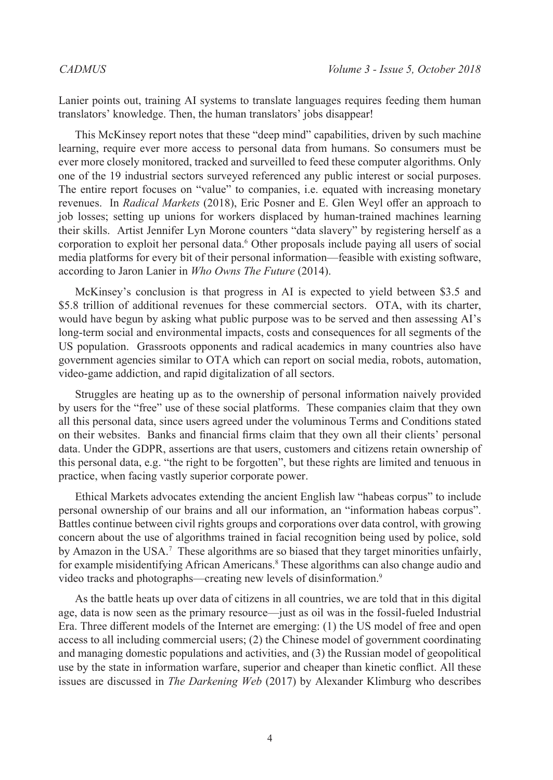Lanier points out, training AI systems to translate languages requires feeding them human translators' knowledge. Then, the human translators' jobs disappear!

This McKinsey report notes that these "deep mind" capabilities, driven by such machine learning, require ever more access to personal data from humans. So consumers must be ever more closely monitored, tracked and surveilled to feed these computer algorithms. Only one of the 19 industrial sectors surveyed referenced any public interest or social purposes. The entire report focuses on "value" to companies, i.e. equated with increasing monetary revenues. In *Radical Markets* (2018), Eric Posner and E. Glen Weyl offer an approach to job losses; setting up unions for workers displaced by human-trained machines learning their skills. Artist Jennifer Lyn Morone counters "data slavery" by registering herself as a corporation to exploit her personal data.<sup>[6](#page-7-5)</sup> Other proposals include paying all users of social media platforms for every bit of their personal information—feasible with existing software, according to Jaron Lanier in *Who Owns The Future* (2014).

McKinsey's conclusion is that progress in AI is expected to yield between \$3.5 and \$5.8 trillion of additional revenues for these commercial sectors. OTA, with its charter, would have begun by asking what public purpose was to be served and then assessing AI's long-term social and environmental impacts, costs and consequences for all segments of the US population. Grassroots opponents and radical academics in many countries also have government agencies similar to OTA which can report on social media, robots, automation, video-game addiction, and rapid digitalization of all sectors.

Struggles are heating up as to the ownership of personal information naively provided by users for the "free" use of these social platforms. These companies claim that they own all this personal data, since users agreed under the voluminous Terms and Conditions stated on their websites. Banks and financial firms claim that they own all their clients' personal data. Under the GDPR, assertions are that users, customers and citizens retain ownership of this personal data, e.g. "the right to be forgotten", but these rights are limited and tenuous in practice, when facing vastly superior corporate power.

Ethical Markets advocates extending the ancient English law "habeas corpus" to include personal ownership of our brains and all our information, an "information habeas corpus". Battles continue between civil rights groups and corporations over data control, with growing concern about the use of algorithms trained in facial recognition being used by police, sold by Amazon in the USA.<sup>7</sup> These algorithms are so biased that they target minorities unfairly, for example misidentifying African Americans.[8](#page-7-7) These algorithms can also change audio and video tracks and photographs—creating new levels of disinformation.[9](#page-7-8)

As the battle heats up over data of citizens in all countries, we are told that in this digital age, data is now seen as the primary resource—just as oil was in the fossil-fueled Industrial Era. Three different models of the Internet are emerging: (1) the US model of free and open access to all including commercial users; (2) the Chinese model of government coordinating and managing domestic populations and activities, and (3) the Russian model of geopolitical use by the state in information warfare, superior and cheaper than kinetic conflict. All these issues are discussed in *The Darkening Web* (2017) by Alexander Klimburg who describes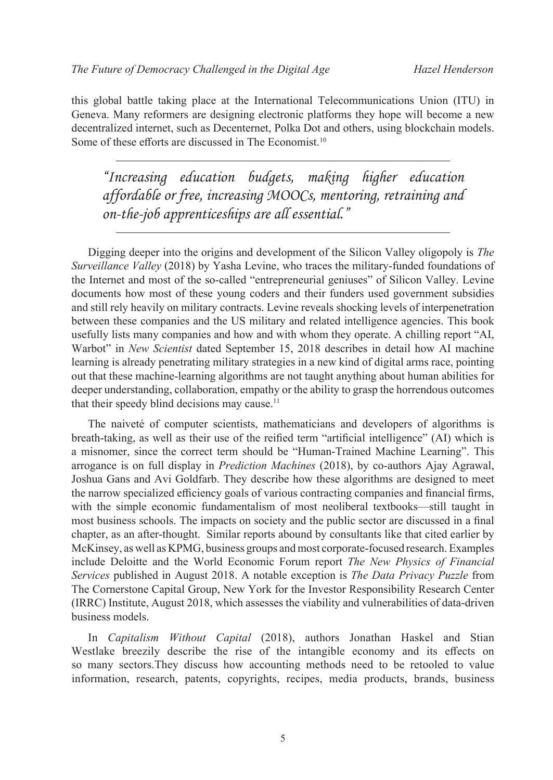this global battle taking place at the International Telecommunications Union (ITU) in Geneva. Many reformers are designing electronic platforms they hope will become a new decentralized internet, such as Decenternet, Polka Dot and others, using blockchain models. Some of these efforts are discussed in The Economist.<sup>[10](#page-7-9)</sup>

*"Increasing education budgets, making higher education affordable or free, increasing MOOCs, mentoring, retraining and on-the-job apprenticeships are all essential."*

Digging deeper into the origins and development of the Silicon Valley oligopoly is *The Surveillance Valley* (2018) by Yasha Levine, who traces the military-funded foundations of the Internet and most of the so-called "entrepreneurial geniuses" of Silicon Valley. Levine documents how most of these young coders and their funders used government subsidies and still rely heavily on military contracts. Levine reveals shocking levels of interpenetration between these companies and the US military and related intelligence agencies. This book usefully lists many companies and how and with whom they operate. A chilling report "AI, Warbot" in *New Scientist* dated September 15, 2018 describes in detail how AI machine learning is already penetrating military strategies in a new kind of digital arms race, pointing out that these machine-learning algorithms are not taught anything about human abilities for deeper understanding, collaboration, empathy or the ability to grasp the horrendous outcomes that their speedy blind decisions may cause.<sup>[11](#page-7-10)</sup>

The naiveté of computer scientists, mathematicians and developers of algorithms is breath-taking, as well as their use of the reified term "artificial intelligence" (AI) which is a misnomer, since the correct term should be "Human-Trained Machine Learning". This arrogance is on full display in *Prediction Machines* (2018), by co-authors Ajay Agrawal, Joshua Gans and Avi Goldfarb. They describe how these algorithms are designed to meet the narrow specialized efficiency goals of various contracting companies and financial firms, with the simple economic fundamentalism of most neoliberal textbooks—still taught in most business schools. The impacts on society and the public sector are discussed in a final chapter, as an after-thought. Similar reports abound by consultants like that cited earlier by McKinsey, as well as KPMG, business groups and most corporate-focused research. Examples include Deloitte and the World Economic Forum report *The New Physics of Financial Services* published in August 2018. A notable exception is *The Data Privacy Puzzle* from The Cornerstone Capital Group, New York for the Investor Responsibility Research Center (IRRC) Institute, August 2018, which assesses the viability and vulnerabilities of data-driven business models.

In *Capitalism Without Capital* (2018), authors Jonathan Haskel and Stian Westlake breezily describe the rise of the intangible economy and its effects on so many sectors.They discuss how accounting methods need to be retooled to value information, research, patents, copyrights, recipes, media products, brands, business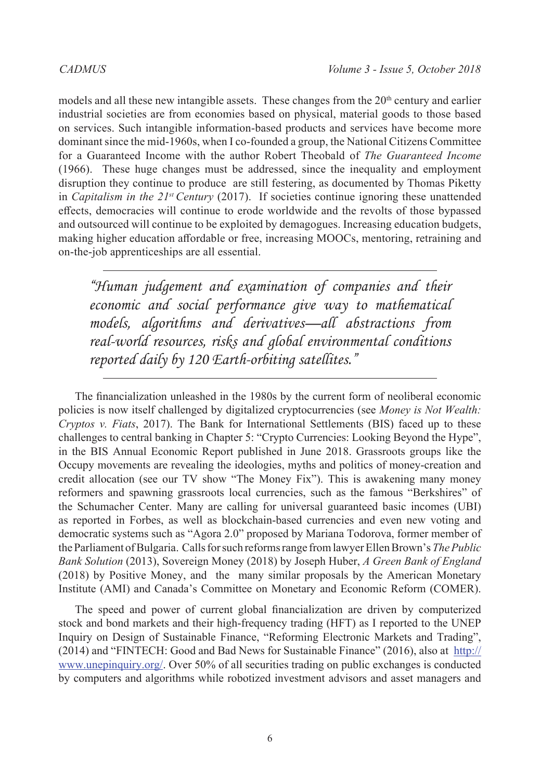models and all these new intangible assets. These changes from the  $20<sup>th</sup>$  century and earlier industrial societies are from economies based on physical, material goods to those based on services. Such intangible information-based products and services have become more dominant since the mid-1960s, when I co-founded a group, the National Citizens Committee for a Guaranteed Income with the author Robert Theobald of *The Guaranteed Income* (1966). These huge changes must be addressed, since the inequality and employment disruption they continue to produce are still festering, as documented by Thomas Piketty in *Capitalism in the 21st Century* (2017). If societies continue ignoring these unattended effects, democracies will continue to erode worldwide and the revolts of those bypassed and outsourced will continue to be exploited by demagogues. Increasing education budgets, making higher education affordable or free, increasing MOOCs, mentoring, retraining and on-the-job apprenticeships are all essential.

*"Human judgement and examination of companies and their economic and social performance give way to mathematical models, algorithms and derivatives—all abstractions from real-world resources, risks and global environmental conditions reported daily by 120 Earth-orbiting satellites."*

The financialization unleashed in the 1980s by the current form of neoliberal economic policies is now itself challenged by digitalized cryptocurrencies (see *Money is Not Wealth: Cryptos v. Fiats*, 2017). The Bank for International Settlements (BIS) faced up to these challenges to central banking in Chapter 5: "Crypto Currencies: Looking Beyond the Hype", in the BIS Annual Economic Report published in June 2018. Grassroots groups like the Occupy movements are revealing the ideologies, myths and politics of money-creation and credit allocation (see our TV show "The Money Fix"). This is awakening many money reformers and spawning grassroots local currencies, such as the famous "Berkshires" of the Schumacher Center. Many are calling for universal guaranteed basic incomes (UBI) as reported in Forbes, as well as blockchain-based currencies and even new voting and democratic systems such as "Agora 2.0" proposed by Mariana Todorova, former member of the Parliament of Bulgaria. Calls for such reforms range from lawyer Ellen Brown's *The Public Bank Solution* (2013), Sovereign Money (2018) by Joseph Huber, *A Green Bank of England* (2018) by Positive Money, and the many similar proposals by the American Monetary Institute (AMI) and Canada's Committee on Monetary and Economic Reform (COMER).

The speed and power of current global financialization are driven by computerized stock and bond markets and their high-frequency trading (HFT) as I reported to the UNEP Inquiry on Design of Sustainable Finance, "Reforming Electronic Markets and Trading", (2014) and "FINTECH: Good and Bad News for Sustainable Finance" (2016), also at  $\frac{http://}{http://}$ www.unepinquiry.org/. Over 50% of all securities trading on public exchanges is conducted by computers and algorithms while robotized investment advisors and asset managers and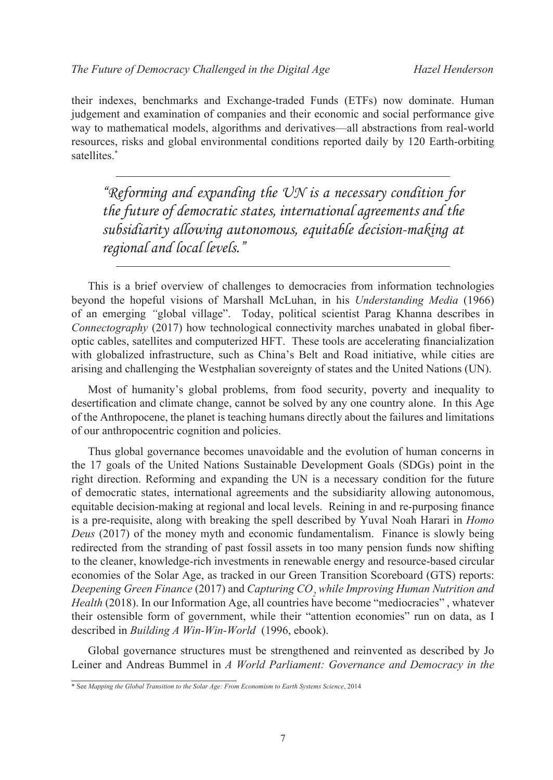their indexes, benchmarks and Exchange-traded Funds (ETFs) now dominate. Human judgement and examination of companies and their economic and social performance give way to mathematical models, algorithms and derivatives—all abstractions from real-world resources, risks and global environmental conditions reported daily by 120 Earth-orbiting satellites.\*

*"Reforming and expanding the UN is a necessary condition for the future of democratic states, international agreements and the subsidiarity allowing autonomous, equitable decision-making at regional and local levels."*

This is a brief overview of challenges to democracies from information technologies beyond the hopeful visions of Marshall McLuhan, in his *Understanding Media* (1966) of an emerging *"*global village". Today, political scientist Parag Khanna describes in *Connectography* (2017) how technological connectivity marches unabated in global fiberoptic cables, satellites and computerized HFT. These tools are accelerating financialization with globalized infrastructure, such as China's Belt and Road initiative, while cities are arising and challenging the Westphalian sovereignty of states and the United Nations (UN).

Most of humanity's global problems, from food security, poverty and inequality to desertification and climate change, cannot be solved by any one country alone. In this Age of the Anthropocene, the planet is teaching humans directly about the failures and limitations of our anthropocentric cognition and policies.

Thus global governance becomes unavoidable and the evolution of human concerns in the 17 goals of the United Nations Sustainable Development Goals (SDGs) point in the right direction. Reforming and expanding the UN is a necessary condition for the future of democratic states, international agreements and the subsidiarity allowing autonomous, equitable decision-making at regional and local levels. Reining in and re-purposing finance is a pre-requisite, along with breaking the spell described by Yuval Noah Harari in *Homo Deus* (2017) of the money myth and economic fundamentalism. Finance is slowly being redirected from the stranding of past fossil assets in too many pension funds now shifting to the cleaner, knowledge-rich investments in renewable energy and resource-based circular economies of the Solar Age, as tracked in our Green Transition Scoreboard (GTS) reports: Deepening Green Finance (2017) and Capturing CO<sub>2</sub> while Improving Human Nutrition and *Health* (2018). In our Information Age, all countries have become "mediocracies" , whatever their ostensible form of government, while their "attention economies" run on data, as I described in *Building A Win-Win-World* (1996, ebook).

Global governance structures must be strengthened and reinvented as described by Jo Leiner and Andreas Bummel in *A World Parliament: Governance and Democracy in the* 

<sup>\*</sup> See *Mapping the Global Transition to the Solar Age: From Economism to Earth Systems Science*, 2014